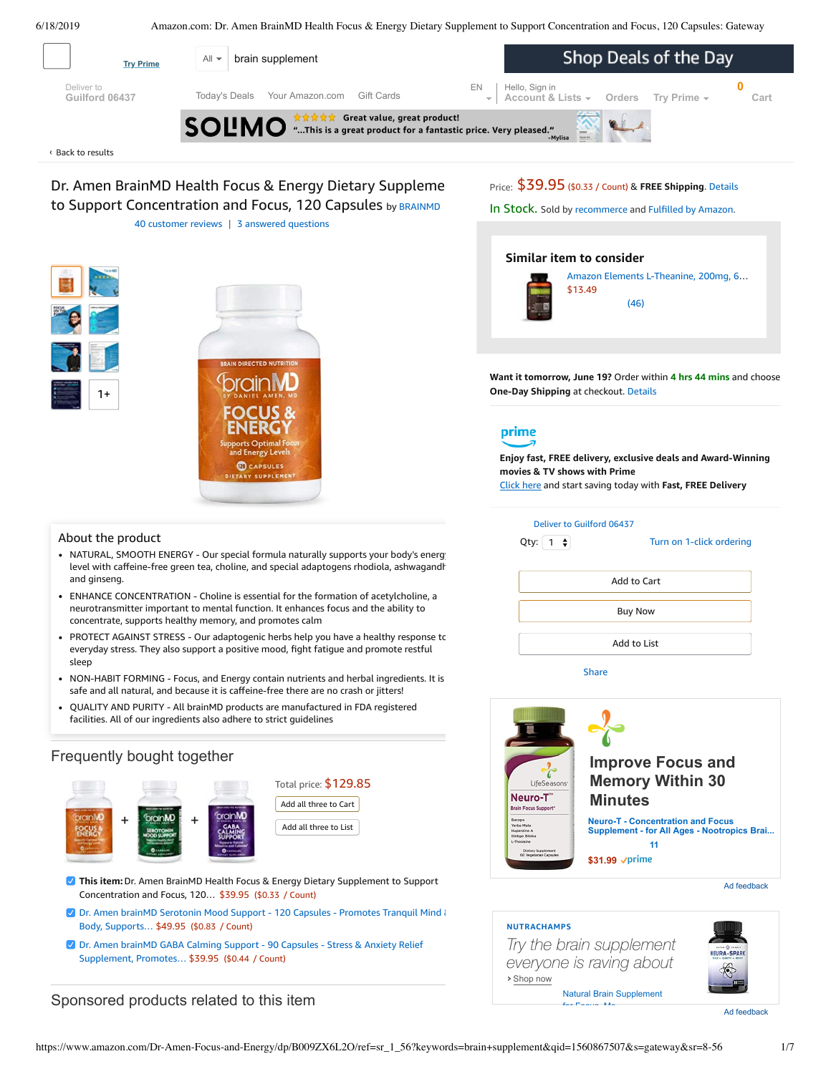<span id="page-0-0"></span>

QUALITY AND PURITY - All brainMD products are manufactured in FDA registered facilities. All of our ingredients also adhere to strict guidelines

# Frequently bought together



# Total price: \$129.85 Add all three to Cart

Add all three to List

- **This item:**Dr. Amen BrainMD Health Focus & Energy Dietary Supplement to Support Concentration and Focus, 120… \$39.95 (\$0.33 / Count)
- Dr. Amen brainMD Serotonin Mood Support 120 Capsules Promotes Tranquil Mind & Body, [Supports…](https://www.amazon.com/Serotonin-Support-Natural-Supplement-Enhance/dp/B009ZXDUUA/ref=pd_bxgy_121_2/143-6729050-3493109?_encoding=UTF8&pd_rd_i=B009ZXDUUA&pd_rd_r=6304ef26-91d5-11e9-97ca-c105db7db679&pd_rd_w=1TPlS&pd_rd_wg=br5FN&pf_rd_p=a2006322-0bc0-4db9-a08e-d168c18ce6f0&pf_rd_r=07Y84TGVKZ9AAQ2X5ZQK&psc=1&refRID=07Y84TGVKZ9AAQ2X5ZQK) \$49.95 (\$0.83 / Count)
- Dr. Amen brainMD GABA Calming Support 90 Capsules Stress & Anxiety Relief [Supplement,](https://www.amazon.com/Dr-Amen-Gaba-Calming-Support/dp/B009ZJHN1Q/ref=pd_bxgy_121_3/143-6729050-3493109?_encoding=UTF8&pd_rd_i=B009ZJHN1Q&pd_rd_r=6304ef26-91d5-11e9-97ca-c105db7db679&pd_rd_w=1TPlS&pd_rd_wg=br5FN&pf_rd_p=a2006322-0bc0-4db9-a08e-d168c18ce6f0&pf_rd_r=07Y84TGVKZ9AAQ2X5ZQK&psc=1&refRID=07Y84TGVKZ9AAQ2X5ZQK) Promotes… \$39.95 (\$0.44 / Count)

# Sponsored products related to this item



Ad feedback

## **NUTRACHAMPS**

**›** Shop now *Try the brain supplement everyone is raving about*



[Natural Brain Supplement](https://aax-us-east.amazon-adsystem.com/x/c/QggL_2eKsRGZ-bw0tH4NNREAAAFrav2FVAEAAAH0AcdlMgM/https://www.amazon.com/dp/B072FH9YDV?ref_=ams_ad_dp_ttl) for Focus Me

Ad feedback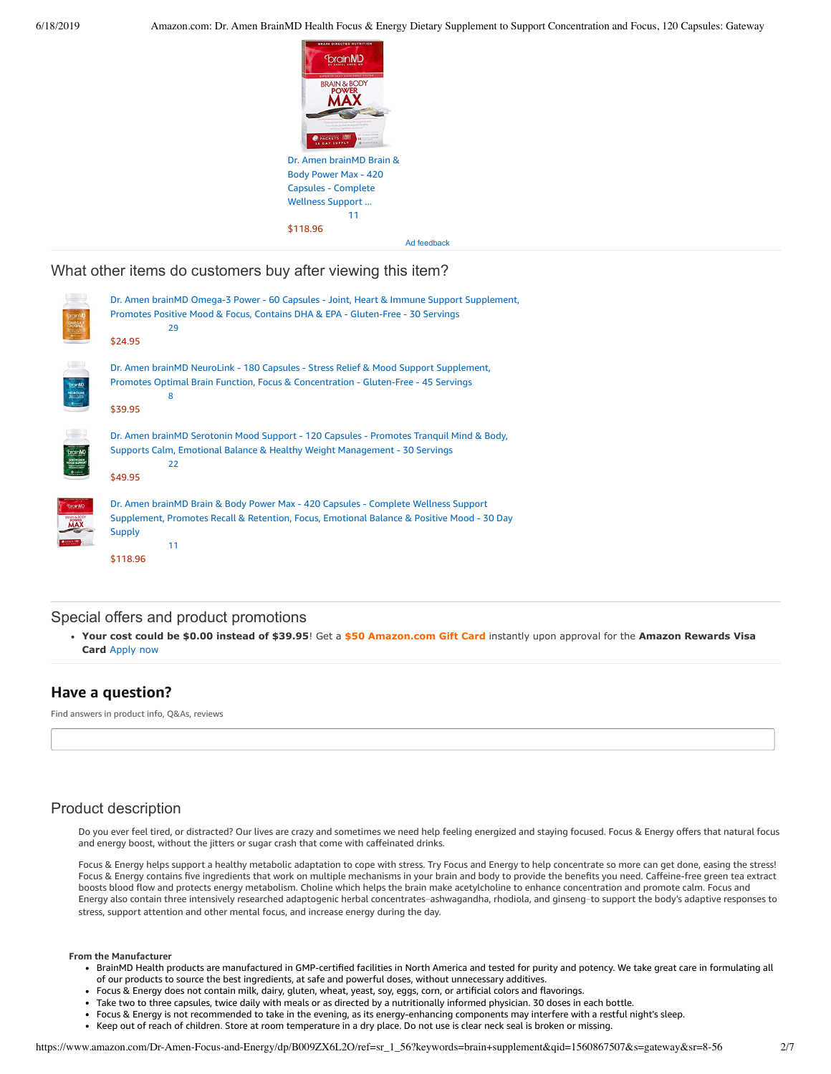

What other items do customers buy after viewing this item?

|                                | Dr. Amen brainMD Omega-3 Power - 60 Capsules - Joint, Heart & Immune Support Supplement,<br>Promotes Positive Mood & Focus, Contains DHA & EPA - Gluten-Free - 30 Servings<br>29<br>\$24.95                         |
|--------------------------------|---------------------------------------------------------------------------------------------------------------------------------------------------------------------------------------------------------------------|
| SportMD                        | Dr. Amen brainMD NeuroLink - 180 Capsules - Stress Relief & Mood Support Supplement,<br>Promotes Optimal Brain Function, Focus & Concentration - Gluten-Free - 45 Servings<br>8<br>\$39.95                          |
| branM<br>SE ROTON<br>OOD SUPPO | Dr. Amen brainMD Serotonin Mood Support - 120 Capsules - Promotes Tranquil Mind & Body,<br>Supports Calm, Emotional Balance & Healthy Weight Management - 30 Servings<br>22<br>\$49.95                              |
| <b>ToramMD</b><br><b>MAX</b>   | Dr. Amen brainMD Brain & Body Power Max - 420 Capsules - Complete Wellness Support<br>Supplement, Promotes Recall & Retention, Focus, Emotional Balance & Positive Mood - 30 Day<br><b>Supply</b><br>11<br>\$118.96 |

# Special offers and product promotions

**[Your cost could be \\$0.00 instead of \\$39.95](https://www.amazon.com/gp/cobrandcard/marketing.html?pr=con321&inc=50gcUnrec&ts=135mmaxi0fsbd7xdt3tbwhzcqlyd4gn&dasin=B009ZX6L2O&plattr=math&place=detailpage&imp=1a10ee32-4e76-4612-9e98-27ca5ff54d24)**! Get a **\$50 Amazon.com Gift Card** instantly upon approval for the **Amazon Rewards Visa Card** Apply now

# **Have a question?**

Find answers in product info, Q&As, reviews

# Product description

Do you ever feel tired, or distracted? Our lives are crazy and sometimes we need help feeling energized and staying focused. Focus & Energy offers that natural focus and energy boost, without the jitters or sugar crash that come with caffeinated drinks.

Focus & Energy helps support a healthy metabolic adaptation to cope with stress. Try Focus and Energy to help concentrate so more can get done, easing the stress! Focus & Energy contains five ingredients that work on multiple mechanisms in your brain and body to provide the benefits you need. Caffeine-free green tea extract boosts blood flow and protects energy metabolism. Choline which helps the brain make acetylcholine to enhance concentration and promote calm. Focus and Energy also contain three intensively researched adaptogenic herbal concentrates-ashwagandha, rhodiola, and ginseng-to support the body's adaptive responses to stress, support attention and other mental focus, and increase energy during the day.

#### **From the Manufacturer**

- BrainMD Health products are manufactured in GMP-certified facilities in North America and tested for purity and potency. We take great care in formulating all of our products to source the best ingredients, at safe and powerful doses, without unnecessary additives.
- Focus & Energy does not contain milk, dairy, gluten, wheat, yeast, soy, eggs, corn, or artificial colors and flavorings.
- Take two to three capsules, twice daily with meals or as directed by a nutritionally informed physician. 30 doses in each bottle.
- Focus & Energy is not recommended to take in the evening, as its energy-enhancing components may interfere with a restful night's sleep.
- Keep out of reach of children. Store at room temperature in a dry place. Do not use is clear neck seal is broken or missing.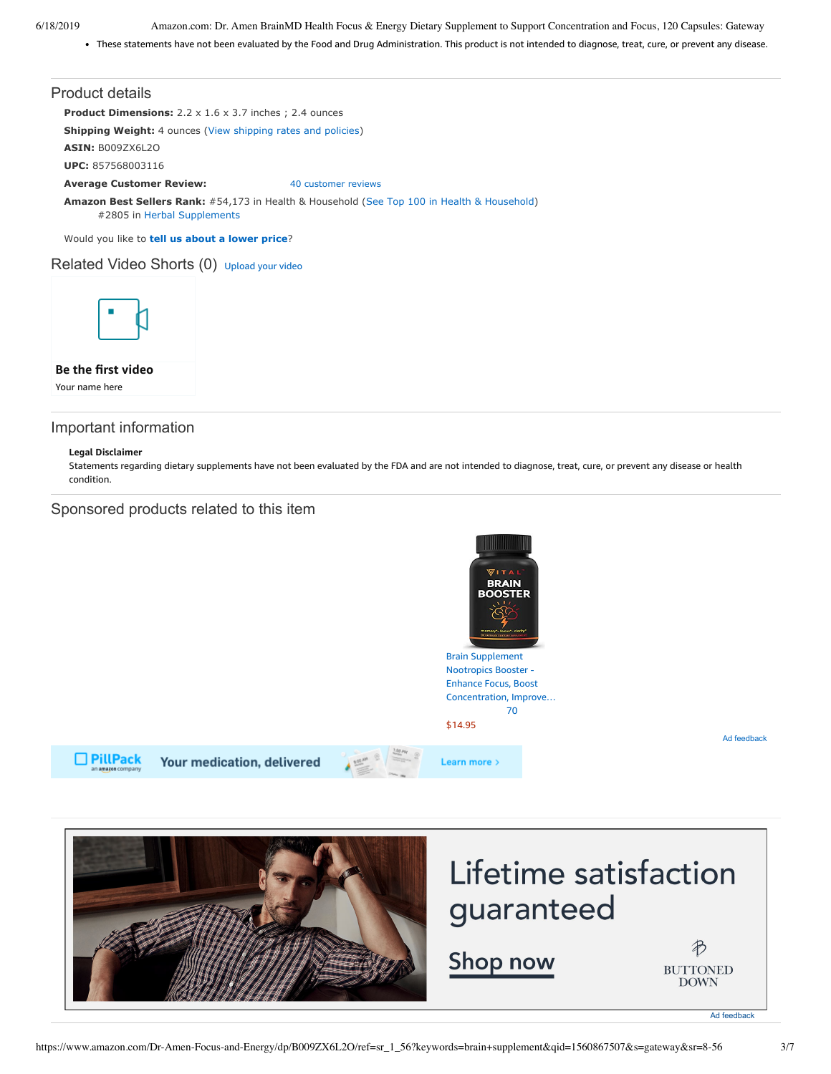6/18/2019 Amazon.com: Dr. Amen BrainMD Health Focus & Energy Dietary Supplement to Support Concentration and Focus, 120 Capsules: Gateway

These statements have not been evaluated by the Food and Drug Administration. This product is not intended to diagnose, treat, cure, or prevent any disease.

#### Product details

**Product Dimensions:** 2.2 x 1.6 x 3.7 inches ; 2.4 ounces

**Shipping Weight:** 4 ounces [\(View shipping rates and policies\)](https://www.amazon.com/gp/help/seller/shipping.html/ref=dp_pd_shipping?ie=UTF8&asin=B009ZX6L2O&seller=ATVPDKIKX0DER)

**ASIN:** B009ZX6L2O

**UPC:** 857568003116

**Average Customer Review:** [40 customer reviews](https://www.amazon.com/product-reviews/B009ZX6L2O/ref=acr_dpproductdetail_text?ie=UTF8&showViewpoints=1)

**Amazon Best Sellers Rank:** #54,173 in Health & Household ([See Top 100 in Health & Household\)](https://www.amazon.com/gp/bestsellers/hpc/ref=pd_zg_ts_hpc) #2805 in [Herbal Supplements](https://www.amazon.com/gp/bestsellers/hpc/3764461/ref=pd_zg_hrsr_hpc)

Would you like to **tell us about a lower price**?

# Related Video Shorts (0) [Upload](https://www.amazon.com/creatorhub/video/upload?productASIN=B009ZX6L2O&referringURL=ZHAvQjAwOVpYNkwyTw%3D%3D&ref=RVSW) your video



**Be the first video**

Your name here

### Important information

#### **Legal Disclaimer**

Statements regarding dietary supplements have not been evaluated by the FDA and are not intended to diagnose, treat, cure, or prevent any disease or health condition.

### Sponsored products related to this item



guaranteed

<span id="page-2-0"></span>Shop now

B **BUTTONED DOWN**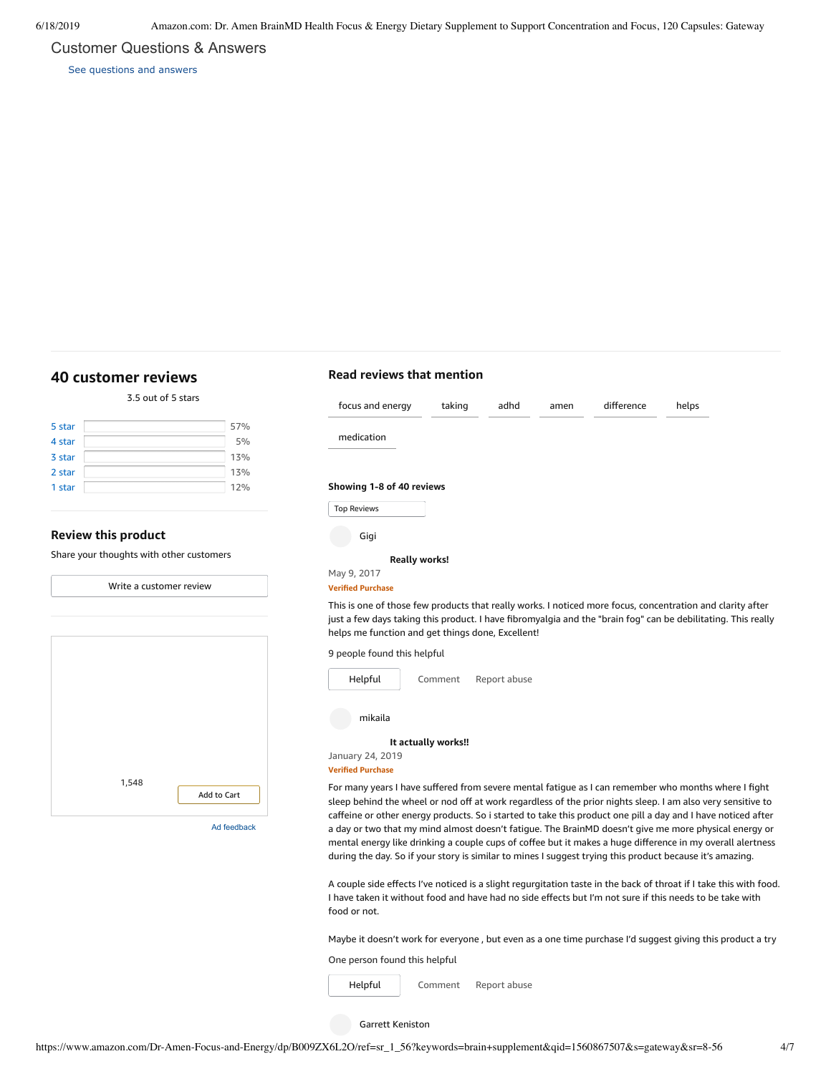### Customer Questions & Answers

[See questions and answers](https://www.amazon.com/ask/questions/asin/B009ZX6L2O/ref=cm_cd_dp_lla_ql_ll)

# <span id="page-3-0"></span>**[40 customer](https://www.amazon.com/BrainMD-Dietary-Supplement-Concentration-Capsules/product-reviews/B009ZX6L2O/ref=cm_cr_dp_d_show_all_top?ie=UTF8&reviewerType=all_reviews) reviews**

3.5 out of 5 [stars](javascript:void(0))

| 5 star | 57% |
|--------|-----|
| 4 star | 5%  |
| 3 star | 13% |
| 2 star | 13% |
| 1 star | 12% |
|        |     |

### **Review this product**

Share your thoughts with other customers



## **Read reviews that mention**

| focus and energy                                                                                                                                                                                                                                                                 | taking              | adhd         | amen | difference | helps |  |
|----------------------------------------------------------------------------------------------------------------------------------------------------------------------------------------------------------------------------------------------------------------------------------|---------------------|--------------|------|------------|-------|--|
| medication                                                                                                                                                                                                                                                                       |                     |              |      |            |       |  |
| Showing 1-8 of 40 reviews                                                                                                                                                                                                                                                        |                     |              |      |            |       |  |
| <b>Top Reviews</b>                                                                                                                                                                                                                                                               |                     |              |      |            |       |  |
| Gigi                                                                                                                                                                                                                                                                             |                     |              |      |            |       |  |
| <b>Really works!</b>                                                                                                                                                                                                                                                             |                     |              |      |            |       |  |
| May 9, 2017<br><b>Verified Purchase</b>                                                                                                                                                                                                                                          |                     |              |      |            |       |  |
| This is one of those few products that really works. I noticed more focus, concentration and clarity after<br>just a few days taking this product. I have fibromyalgia and the "brain fog" can be debilitating. This really<br>helps me function and get things done, Excellent! |                     |              |      |            |       |  |
| 9 people found this helpful                                                                                                                                                                                                                                                      |                     |              |      |            |       |  |
| Helpful                                                                                                                                                                                                                                                                          | Comment             | Report abuse |      |            |       |  |
| mikaila                                                                                                                                                                                                                                                                          |                     |              |      |            |       |  |
|                                                                                                                                                                                                                                                                                  | It actually works!! |              |      |            |       |  |
| January 24, 2019                                                                                                                                                                                                                                                                 |                     |              |      |            |       |  |

**Verified Purchase**

For many years I have suffered from severe mental fatigue as I can remember who months where I fight sleep behind the wheel or nod off at work regardless of the prior nights sleep. I am also very sensitive to caffeine or other energy products. So i started to take this product one pill a day and I have noticed after a day or two that my mind almost doesn't fatigue. The BrainMD doesn't give me more physical energy or mental energy like drinking a couple cups of coffee but it makes a huge difference in my overall alertness during the day. So if your story is similar to mines I suggest trying this product because it's amazing.

A couple side effects I've noticed is a slight regurgitation taste in the back of throat if I take this with food. I have taken it without food and have had no side effects but I'm not sure if this needs to be take with food or not.

Maybe it doesn't work for everyone , but even as a one time purchase I'd suggest giving this product a try

One person found this helpful

[Comment](https://www.amazon.com/gp/customer-reviews/R3CY10Q6N9OGBC/ref=cm_cr_dp_d_rvw_btm?ie=UTF8&ASIN=B009ZX6L2O#wasThisHelpful) [Report](https://www.amazon.com/hz/reviews-render/report-abuse?ie=UTF8&voteDomain=Reviews&ref=cm_cr_dp_d_rvw_hlp&csrfT=gvxDqpADGjbJ4AcPAPkRXpD2Ae06pCumlqOYf8AAAAABAAAAAF0I9SByYXcAAAAA%2B4kUEk%2F7iMGR3xPcX6iU&entityId=R3CY10Q6N9OGBC&sessionId=143-6729050-3493109) abuse [Helpful](https://www.amazon.com/ap/signin?openid.return_to=https%3A%2F%2Fwww.amazon.com%2Fdp%2FB009ZX6L2O%2Fref%3Dcm_cr_dp_d_vote_lft%3Fie%3DUTF8%26voteInstanceId%3DR3CY10Q6N9OGBC%26voteValue%3D1%26csrfT%3DgvxDqpADGjbJ4AcPAPkRXpD2Ae06pCumlqOYf8AAAAABAAAAAF0I9SByYXcAAAAA%252B4kUEk%252F7iMGR3xPcX6iU%23R3CY10Q6N9OGBC&openid.identity=http%3A%2F%2Fspecs.openid.net%2Fauth%2F2.0%2Fidentifier_select&openid.claimed_id=http%3A%2F%2Fspecs.openid.net%2Fauth%2F2.0%2Fidentifier_select&openid.assoc_handle=usflex&openid.mode=checkid_setup&openid.ns=http%3A%2F%2Fspecs.openid.net%2Fauth%2F2.0)

Garrett Keniston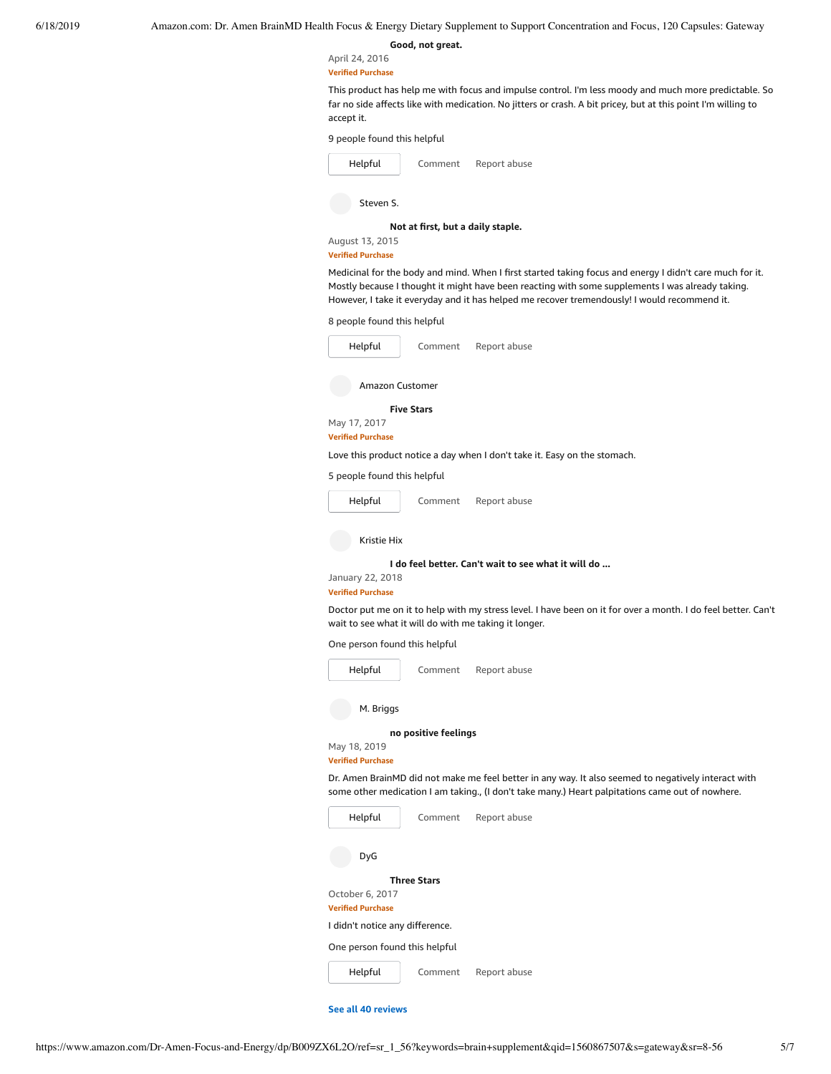# **[Good,](https://www.amazon.com/gp/customer-reviews/R2D7YRR7PR10H2/ref=cm_cr_dp_d_rvw_ttl?ie=UTF8&ASIN=B009ZX6L2O) not great.**

April 24, 2016 **Verified Purchase**

This product has help me with focus and impulse control. I'm less moody and much more predictable. So far no side affects like with medication. No jitters or crash. A bit pricey, but at this point I'm willing to accept it.

9 people found this helpful

| Helpful   | Comment | Report abuse |  |
|-----------|---------|--------------|--|
| Steven S. |         |              |  |

**Not at first, but a daily [staple.](https://www.amazon.com/gp/customer-reviews/R31PQ6OCF2PAMZ/ref=cm_cr_dp_d_rvw_ttl?ie=UTF8&ASIN=B009ZX6L2O)**

#### August 13, 2015 **Verified Purchase**

Medicinal for the body and mind. When I first started taking focus and energy I didn't care much for it. Mostly because I thought it might have been reacting with some supplements I was already taking. However, I take it everyday and it has helped me recover tremendously! I would recommend it.

8 people found this helpful

| Helpful                                      | Comment              | Report abuse                                                                                                                                                                                            |
|----------------------------------------------|----------------------|---------------------------------------------------------------------------------------------------------------------------------------------------------------------------------------------------------|
| Amazon Customer                              |                      |                                                                                                                                                                                                         |
|                                              | <b>Five Stars</b>    |                                                                                                                                                                                                         |
| May 17, 2017<br><b>Verified Purchase</b>     |                      |                                                                                                                                                                                                         |
|                                              |                      | Love this product notice a day when I don't take it. Easy on the stomach.                                                                                                                               |
| 5 people found this helpful                  |                      |                                                                                                                                                                                                         |
| Helpful                                      | Comment              | Report abuse                                                                                                                                                                                            |
| Kristie Hix                                  |                      |                                                                                                                                                                                                         |
|                                              |                      | I do feel better. Can't wait to see what it will do                                                                                                                                                     |
| January 22, 2018<br><b>Verified Purchase</b> |                      |                                                                                                                                                                                                         |
|                                              |                      | Doctor put me on it to help with my stress level. I have been on it for over a month. I do feel better. Can't<br>wait to see what it will do with me taking it longer.                                  |
| One person found this helpful                |                      |                                                                                                                                                                                                         |
| Helpful                                      | Comment              | Report abuse                                                                                                                                                                                            |
| M. Briggs                                    |                      |                                                                                                                                                                                                         |
|                                              | no positive feelings |                                                                                                                                                                                                         |
| May 18, 2019<br><b>Verified Purchase</b>     |                      |                                                                                                                                                                                                         |
|                                              |                      | Dr. Amen BrainMD did not make me feel better in any way. It also seemed to negatively interact with<br>some other medication I am taking., (I don't take many.) Heart palpitations came out of nowhere. |
| Helpful                                      | Comment              | Report abuse                                                                                                                                                                                            |
| DyG                                          |                      |                                                                                                                                                                                                         |
|                                              | <b>Three Stars</b>   |                                                                                                                                                                                                         |
| October 6, 2017<br><b>Verified Purchase</b>  |                      |                                                                                                                                                                                                         |
| I didn't notice any difference.              |                      |                                                                                                                                                                                                         |
| One person found this helpful                |                      |                                                                                                                                                                                                         |
| Helpful                                      | Comment              | Report abuse                                                                                                                                                                                            |

**See all 40 [reviews](https://www.amazon.com/BrainMD-Dietary-Supplement-Concentration-Capsules/product-reviews/B009ZX6L2O/ref=cm_cr_dp_d_show_all_btm?ie=UTF8&reviewerType=all_reviews)**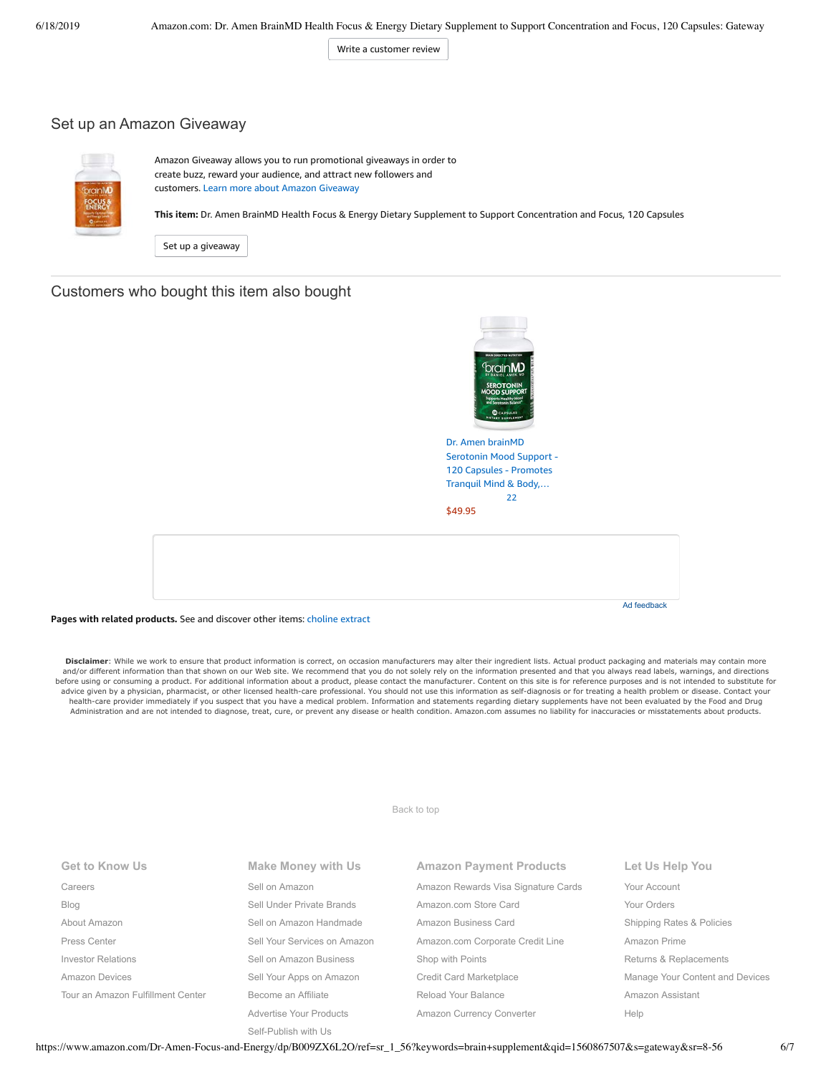Write a [customer](https://www.amazon.com/review/create-review/ref=cm_cr_dp_d_wr_but_btm?ie=UTF8&channel=glance-detail&asin=B009ZX6L2O) review

### Set up an Amazon Giveaway



Amazon Giveaway allows you to run promotional giveaways in order to create buzz, reward your audience, and attract new followers and customers. Learn more about Amazon [Giveaway](https://www.amazon.com/gp/giveaway/home?ref=aga_dp_lm)

**This item:** Dr. Amen BrainMD Health Focus & Energy Dietary Supplement to Support Concentration and Focus, 120 Capsules

Set up a [giveaway](https://www.amazon.com/giveaway/host/setup/ref=aga_h_su_dp?_encoding=UTF8&asin=B009ZX6L2O)

## Customers who bought this item also bought



Dr. Amen brainMD [Serotonin](https://www.amazon.com/Serotonin-Support-Natural-Supplement-Enhance/dp/B009ZXDUUA/ref=pd_sim_121_1/143-6729050-3493109?_encoding=UTF8&pd_rd_i=B009ZXDUUA&pd_rd_r=6304ef26-91d5-11e9-97ca-c105db7db679&pd_rd_w=GqfGn&pd_rd_wg=br5FN&pf_rd_p=90485860-83e9-4fd9-b838-b28a9b7fda30&pf_rd_r=07Y84TGVKZ9AAQ2X5ZQK&psc=1&refRID=07Y84TGVKZ9AAQ2X5ZQK) Mood Support - 120 Capsules - Promotes Tranquil Mind & Body,… [22](https://www.amazon.com/product-reviews/B009ZXDUUA/ref=pd_sim_121_cr_1/143-6729050-3493109?ie=UTF8&pd_rd_i=B009ZXDUUA&pd_rd_r=6304ef26-91d5-11e9-97ca-c105db7db679&pd_rd_w=GqfGn&pd_rd_wg=br5FN&pf_rd_p=90485860-83e9-4fd9-b838-b28a9b7fda30&pf_rd_r=07Y84TGVKZ9AAQ2X5ZQK&refRID=07Y84TGVKZ9AAQ2X5ZQK) [\\$49.95](https://www.amazon.com/Serotonin-Support-Natural-Supplement-Enhance/dp/B009ZXDUUA/ref=pd_sim_121_1/143-6729050-3493109?_encoding=UTF8&pd_rd_i=B009ZXDUUA&pd_rd_r=6304ef26-91d5-11e9-97ca-c105db7db679&pd_rd_w=GqfGn&pd_rd_wg=br5FN&pf_rd_p=90485860-83e9-4fd9-b838-b28a9b7fda30&pf_rd_r=07Y84TGVKZ9AAQ2X5ZQK&psc=1&refRID=07Y84TGVKZ9AAQ2X5ZQK)



#### **Pages with related products.** See and discover other items: [choline](https://www.amazon.com/slp/choline-extract/z3d9ezhfg5uz4wm?_encoding=UTF8&ref_=fs_blw_d_clp_1) extract

Disclaimer: While we work to ensure that product information is correct, on occasion manufacturers may alter their ingredient lists. Actual product packaging and materials may contain more and/or different information than that shown on our Web site. We recommend that you do not solely rely on the information presented and that you always read labels, warnings, and directions before using or consuming a product. For additional information about a product, please contact the manufacturer. Content on this site is for reference purposes and is not intended to substitute for advice given by a physician, pharmacist, or other licensed health-care professional. You should not use this information as self-diagnosis or for treating a health problem or disease. Contact your health-care provider immediately if you suspect that you have a medical problem. Information and statements regarding dietary supplements have not been evaluated by the Food and Drug Administration and are not intended to diagnose, treat, cure, or prevent any disease or health condition. Amazon.com assumes no liability for inaccuracies or misstatements about products.

[Back to top](#page-0-0)

| <b>Get to Know Us</b>             | Make Money with Us           | <b>Amazon Payment Products</b>      | Let Us Help You                 |
|-----------------------------------|------------------------------|-------------------------------------|---------------------------------|
| Careers                           | Sell on Amazon               | Amazon Rewards Visa Signature Cards | Your Account                    |
| <b>Blog</b>                       | Sell Under Private Brands    | Amazon.com Store Card               | Your Orders                     |
| About Amazon                      | Sell on Amazon Handmade      | Amazon Business Card                | Shipping Rates & Policies       |
| Press Center                      | Sell Your Services on Amazon | Amazon.com Corporate Credit Line    | Amazon Prime                    |
| <b>Investor Relations</b>         | Sell on Amazon Business      | Shop with Points                    | Returns & Replacements          |
| Amazon Devices                    | Sell Your Apps on Amazon     | Credit Card Marketplace             | Manage Your Content and Devices |
| Tour an Amazon Fulfillment Center | Become an Affiliate          | Reload Your Balance                 | Amazon Assistant                |
|                                   | Advertise Your Products      | Amazon Currency Converter           | Help                            |
|                                   | Self-Publish with Us         |                                     |                                 |

https://www.amazon.com/Dr-Amen-Focus-and-Energy/dp/B009ZX6L2O/ref=sr\_1\_56?keywords=brain+supplement&qid=1560867507&s=gateway&sr=8-56 6/7